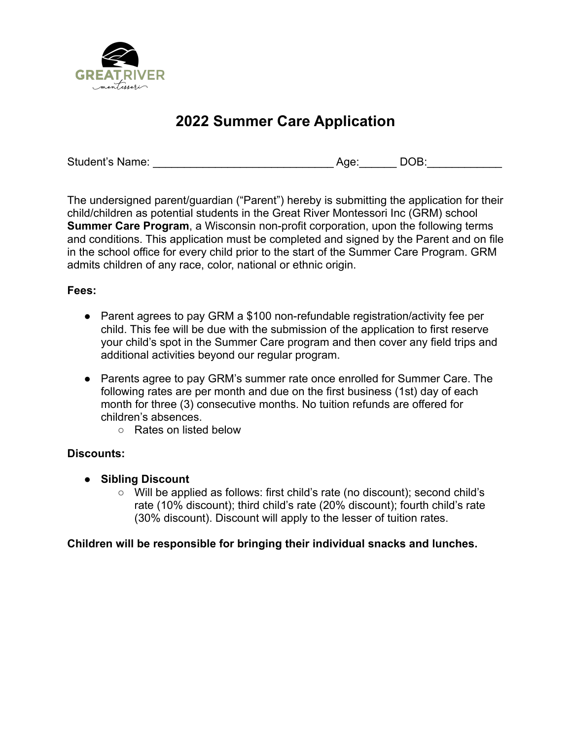

# **2022 Summer Care Application**

Student's Name: \_\_\_\_\_\_\_\_\_\_\_\_\_\_\_\_\_\_\_\_\_\_\_\_\_\_\_\_\_ Age:\_\_\_\_\_\_ DOB:\_\_\_\_\_\_\_\_\_\_\_\_

The undersigned parent/guardian ("Parent") hereby is submitting the application for their child/children as potential students in the Great River Montessori Inc (GRM) school **Summer Care Program**, a Wisconsin non-profit corporation, upon the following terms and conditions. This application must be completed and signed by the Parent and on file in the school office for every child prior to the start of the Summer Care Program. GRM admits children of any race, color, national or ethnic origin.

### **Fees:**

- Parent agrees to pay GRM a \$100 non-refundable registration/activity fee per child. This fee will be due with the submission of the application to first reserve your child's spot in the Summer Care program and then cover any field trips and additional activities beyond our regular program.
- Parents agree to pay GRM's summer rate once enrolled for Summer Care. The following rates are per month and due on the first business (1st) day of each month for three (3) consecutive months. No tuition refunds are offered for children's absences.
	- Rates on listed below

## **Discounts:**

- **● Sibling Discount**
	- **○** Will be applied as follows: first child's rate (no discount); second child's rate (10% discount); third child's rate (20% discount); fourth child's rate (30% discount). Discount will apply to the lesser of tuition rates.

## **Children will be responsible for bringing their individual snacks and lunches.**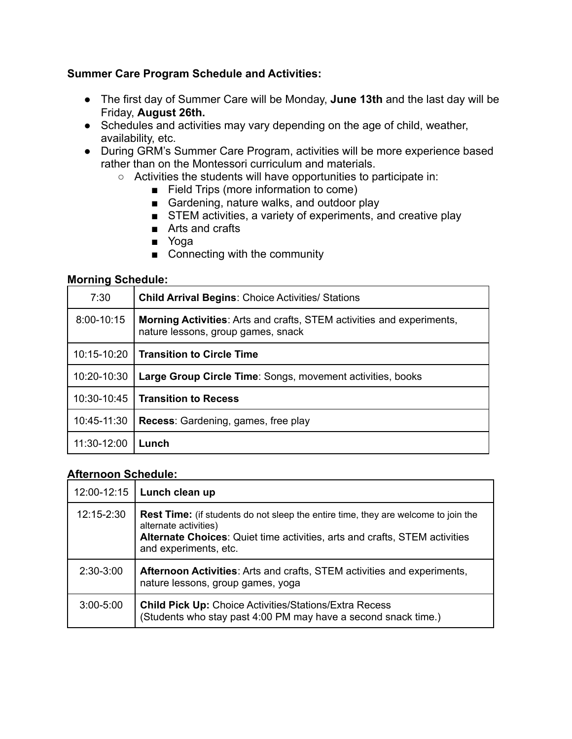### **Summer Care Program Schedule and Activities:**

- The first day of Summer Care will be Monday, **June 13th** and the last day will be Friday, **August 26th.**
- Schedules and activities may vary depending on the age of child, weather, availability, etc.
- During GRM's Summer Care Program, activities will be more experience based rather than on the Montessori curriculum and materials.
	- Activities the students will have opportunities to participate in:
		- Field Trips (more information to come)
		- Gardening, nature walks, and outdoor play
		- STEM activities, a variety of experiments, and creative play
		- Arts and crafts
		- Yoga
		- Connecting with the community

#### **Morning Schedule:**

| 7:30        | <b>Child Arrival Begins: Choice Activities/ Stations</b>                                                           |  |
|-------------|--------------------------------------------------------------------------------------------------------------------|--|
| 8:00-10:15  | <b>Morning Activities:</b> Arts and crafts, STEM activities and experiments,<br>nature lessons, group games, snack |  |
| 10:15-10:20 | <b>Transition to Circle Time</b>                                                                                   |  |
| 10:20-10:30 | Large Group Circle Time: Songs, movement activities, books                                                         |  |
| 10:30-10:45 | <b>Transition to Recess</b>                                                                                        |  |
| 10:45-11:30 | <b>Recess:</b> Gardening, games, free play                                                                         |  |
| 11:30-12:00 | Lunch                                                                                                              |  |

#### **Afternoon Schedule:**

| 12:00-12:15   | Lunch clean up                                                                                                                                                                                                            |
|---------------|---------------------------------------------------------------------------------------------------------------------------------------------------------------------------------------------------------------------------|
| 12:15-2:30    | <b>Rest Time:</b> (if students do not sleep the entire time, they are welcome to join the<br>alternate activities)<br>Alternate Choices: Quiet time activities, arts and crafts, STEM activities<br>and experiments, etc. |
| $2:30-3:00$   | <b>Afternoon Activities:</b> Arts and crafts, STEM activities and experiments,<br>nature lessons, group games, yoga                                                                                                       |
| $3:00 - 5:00$ | <b>Child Pick Up: Choice Activities/Stations/Extra Recess</b><br>(Students who stay past 4:00 PM may have a second snack time.)                                                                                           |